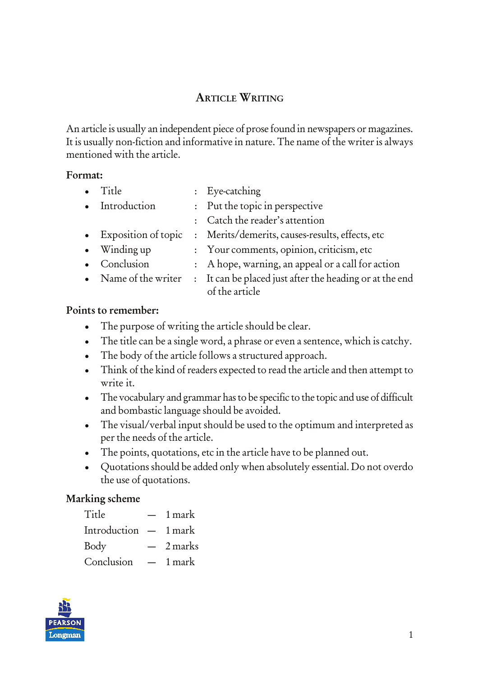# ARTICLE WRITING

An article is usually an independent piece of prose found in newspapers or magazines. It is usually non-fiction and informative in nature. The name of the writer is always mentioned with the article.

#### Format:

• Title : Eye-catching • Introduction : Put the topic in perspective : Catch the reader's attention • Exposition of topic : Merits/demerits, causes-results, effects, etc • Winding up : Your comments, opinion, criticism, etc • Conclusion : A hope, warning, an appeal or a call for action • Name of the writer : It can be placed just after the heading or at the end of the article

#### Points to remember:

- The purpose of writing the article should be clear.
- The title can be a single word, a phrase or even a sentence, which is catchy.
- The body of the article follows a structured approach.
- Think of the kind of readers expected to read the article and then attempt to write it.
- The vocabulary and grammar has to be specific to the topic and use of difficult and bombastic language should be avoided.
- The visual/verbal input should be used to the optimum and interpreted as per the needs of the article.
- The points, quotations, etc in the article have to be planned out.
- Quotations should be added only when absolutely essential. Do not overdo the use of quotations.

## Marking scheme

| Title                  | $\overline{\phantom{0}}$ | 1 mark  |
|------------------------|--------------------------|---------|
| Introduction $-1$ mark |                          |         |
| Body                   |                          | 2 marks |
| Conclusion             |                          | 1 mark  |

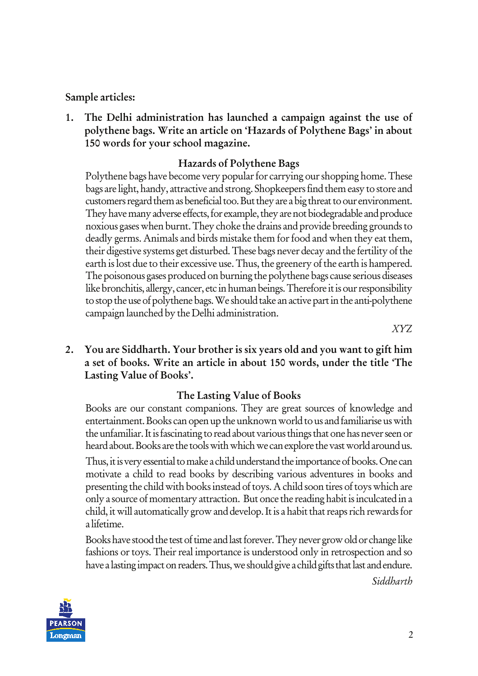### Sample articles:

1. The Delhi administration has launched a campaign against the use of polythene bags. Write an article on 'Hazards of Polythene Bags' in about 150 words for your school magazine.

### Hazards of Polythene Bags

Polythene bags have become very popular for carrying our shopping home. These bags are light, handy, attractive and strong. Shopkeepers find them easy to store and customers regard them as beneficial too. But they are a big threat to our environment. They have many adverse effects, for example, they are not biodegradable and produce noxious gases when burnt. They choke the drains and provide breeding grounds to deadly germs. Animals and birds mistake them for food and when they eat them, their digestive systems get disturbed. These bags never decay and the fertility of the earth is lost due to their excessive use. Thus, the greenery of the earth is hampered. The poisonous gases produced on burning the polythene bags cause serious diseases like bronchitis, allergy, cancer, etc in human beings. Therefore it is our responsibility to stop the use of polythene bags. We should take an active part in the anti-polythene campaign launched by the Delhi administration.

*XYZ*

2. You are Siddharth. Your brother is six years old and you want to gift him a set of books. Write an article in about 150 words, under the title 'The Lasting Value of Books'.

## The Lasting Value of Books

Books are our constant companions. They are great sources of knowledge and entertainment. Books can open up the unknown world to us and familiarise us with the unfamiliar. It is fascinating to read about various things that one has never seen or heard about. Books are the tools with which we can explore the vast world around us.

Thus, it is very essential to make a child understand the importance of books. One can motivate a child to read books by describing various adventures in books and presenting the child with books instead of toys. A child soon tires of toys which are only a source of momentary attraction. But once the reading habit is inculcated in a child, it will automatically grow and develop. It is a habit that reaps rich rewards for a lifetime.

Books have stood the test of time and last forever. They never grow old or change like fashions or toys. Their real importance is understood only in retrospection and so have a lasting impact on readers. Thus, we should give a child gifts that last and endure.

*Siddharth*

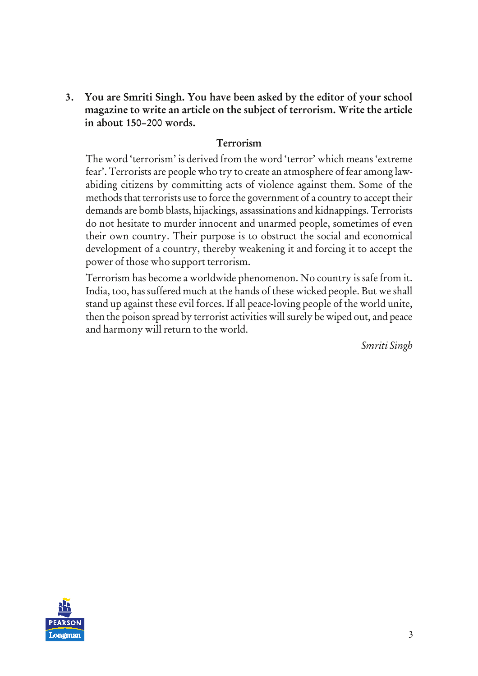3. You are Smriti Singh. You have been asked by the editor of your school magazine to write an article on the subject of terrorism. Write the article in about 150–200 words.

#### Terrorism

The word 'terrorism' is derived from the word 'terror' which means 'extreme fear'. Terrorists are people who try to create an atmosphere of fear among lawabiding citizens by committing acts of violence against them. Some of the methods that terrorists use to force the government of a country to accept their demands are bomb blasts, hijackings, assassinations and kidnappings. Terrorists do not hesitate to murder innocent and unarmed people, sometimes of even their own country. Their purpose is to obstruct the social and economical development of a country, thereby weakening it and forcing it to accept the power of those who support terrorism.

Terrorism has become a worldwide phenomenon. No country is safe from it. India, too, has suffered much at the hands of these wicked people. But we shall stand up against these evil forces. If all peace-loving people of the world unite, then the poison spread by terrorist activities will surely be wiped out, and peace and harmony will return to the world.

*Smriti Singh*

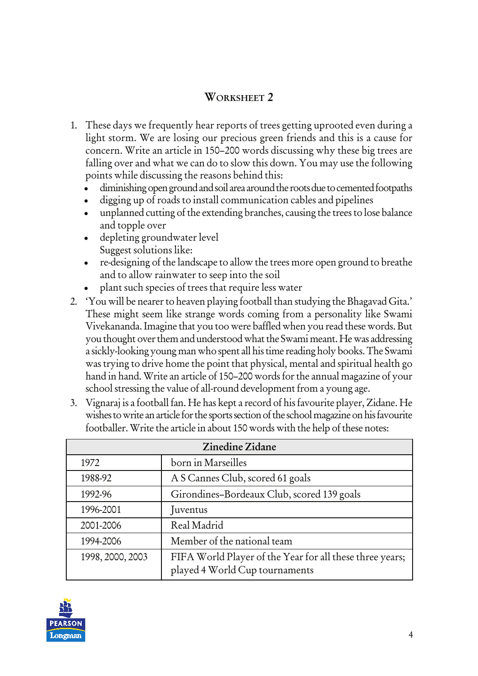## WORKSHEET 2

- 1. These days we frequently hear reports of trees getting uprooted even during a light storm. We are losing our precious green friends and this is a cause for concern. Write an article in 150–200 words discussing why these big trees are falling over and what we can do to slow this down. You may use the following points while discussing the reasons behind this:
	- diminishing open ground and soil area around the roots due to cemented footpaths
	- digging up of roads to install communication cables and pipelines
	- unplanned cutting of the extending branches, causing the trees to lose balance and topple over
	- depleting groundwater level Suggest solutions like:
	- re-designing of the landscape to allow the trees more open ground to breathe and to allow rainwater to seep into the soil
	- plant such species of trees that require less water
- 2. 'You will be nearer to heaven playing football than studying the Bhagavad Gita.' These might seem like strange words coming from a personality like Swami Vivekananda. Imagine that you too were baffled when you read these words. But you thought over them and understood what the Swami meant. He was addressing a sickly-looking young man who spent all his time reading holy books. The Swami was trying to drive home the point that physical, mental and spiritual health go hand in hand. Write an article of 150–200 words for the annual magazine of your school stressing the value of all-round development from a young age.
- 3. Vignaraj is a football fan. He has kept a record of his favourite player, Zidane. He wishes to write an article for the sports section of the school magazine on his favourite footballer. Write the article in about 150 words with the help of these notes:

| Zinedine Zidane  |                                                                                            |  |
|------------------|--------------------------------------------------------------------------------------------|--|
| 1972             | born in Marseilles                                                                         |  |
| 1988-92          | A S Cannes Club, scored 61 goals                                                           |  |
| 1992-96          | Girondines-Bordeaux Club, scored 139 goals                                                 |  |
| 1996-2001        | Juventus                                                                                   |  |
| 2001-2006        | Real Madrid                                                                                |  |
| 1994-2006        | Member of the national team                                                                |  |
| 1998, 2000, 2003 | FIFA World Player of the Year for all these three years;<br>played 4 World Cup tournaments |  |